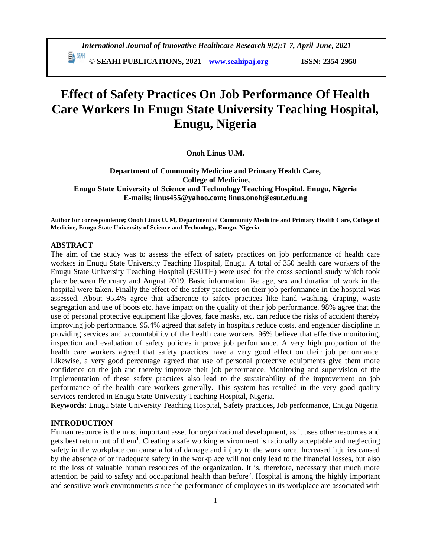# **Effect of Safety Practices On Job Performance Of Health Care Workers In Enugu State University Teaching Hospital, Enugu, Nigeria**

**Onoh Linus U.M.**

**Department of Community Medicine and Primary Health Care, College of Medicine, Enugu State University of Science and Technology Teaching Hospital, Enugu, Nigeria E-mails; linus455@yahoo.com; linus.onoh@esut.edu.ng**

**Author for correspondence; Onoh Linus U. M, Department of Community Medicine and Primary Health Care, College of Medicine, Enugu State University of Science and Technology, Enugu. Nigeria.**

#### **ABSTRACT**

The aim of the study was to assess the effect of safety practices on job performance of health care workers in Enugu State University Teaching Hospital, Enugu. A total of 350 health care workers of the Enugu State University Teaching Hospital (ESUTH) were used for the cross sectional study which took place between February and August 2019. Basic information like age, sex and duration of work in the hospital were taken. Finally the effect of the safety practices on their job performance in the hospital was assessed. About 95.4% agree that adherence to safety practices like hand washing, draping, waste segregation and use of boots etc. have impact on the quality of their job performance. 98% agree that the use of personal protective equipment like gloves, face masks, etc. can reduce the risks of accident thereby improving job performance. 95.4% agreed that safety in hospitals reduce costs, and engender discipline in providing services and accountability of the health care workers. 96% believe that effective monitoring, inspection and evaluation of safety policies improve job performance. A very high proportion of the health care workers agreed that safety practices have a very good effect on their job performance. Likewise, a very good percentage agreed that use of personal protective equipments give them more confidence on the job and thereby improve their job performance. Monitoring and supervision of the implementation of these safety practices also lead to the sustainability of the improvement on job performance of the health care workers generally. This system has resulted in the very good quality services rendered in Enugu State University Teaching Hospital, Nigeria.

**Keywords:** Enugu State University Teaching Hospital, Safety practices, Job performance, Enugu Nigeria

#### **INTRODUCTION**

Human resource is the most important asset for organizational development, as it uses other resources and gets best return out of them<sup>1</sup>. Creating a safe working environment is rationally acceptable and neglecting safety in the workplace can cause a lot of damage and injury to the workforce. Increased injuries caused by the absence of or inadequate safety in the workplace will not only lead to the financial losses, but also to the loss of valuable human resources of the organization. It is, therefore, necessary that much more attention be paid to safety and occupational health than before<sup>2</sup>. Hospital is among the highly important and sensitive work environments since the performance of employees in its workplace are associated with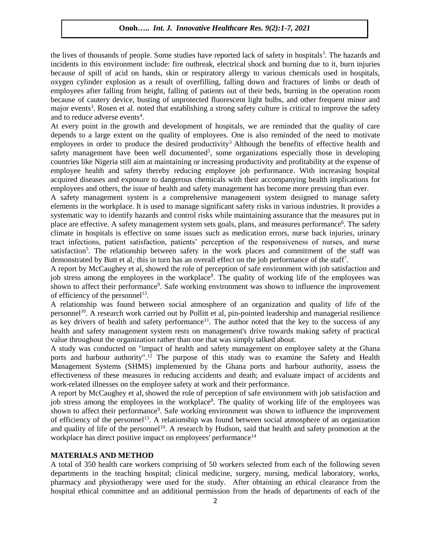the lives of thousands of people. Some studies have reported lack of safety in hospitals<sup>3</sup>. The hazards and incidents in this environment include: fire outbreak, electrical shock and burning due to it, burn injuries because of spill of acid on hands, skin or respiratory allergy to various chemicals used in hospitals, oxygen cylinder explosion as a result of overfilling, falling down and fractures of limbs or death of employees after falling from height, falling of patients out of their beds, burning in the operation room because of cautery device, busting of unprotected fluorescent light bulbs, and other frequent minor and major events<sup>3</sup>. Rosen et al. noted that establishing a strong safety culture is critical to improve the safety and to reduce adverse events<sup>4</sup>.

At every point in the growth and development of hospitals, we are reminded that the quality of care depends to a large extent on the quality of employees. One is also reminded of the need to motivate employees in order to produce the desired productivity<sup>3</sup> Although the benefits of effective health and safety management have been well documented<sup>5</sup>, some organizations especially those in developing countries like Nigeria still aim at maintaining or increasing productivity and profitability at the expense of employee health and safety thereby reducing employee job performance. With increasing hospital acquired diseases and exposure to dangerous chemicals with their accompanying health implications for employees and others, the issue of health and safety management has become more pressing than ever.

A safety management system is a comprehensive management system designed to manage safety elements in the workplace. It is used to manage significant safety risks in various industries. It provides a systematic way to identify hazards and control risks while maintaining assurance that the measures put in place are effective. A safety management system sets goals, plans, and measures performance<sup>6</sup>. The safety climate in hospitals is effective on some issues such as medication errors, nurse back injuries, urinary tract infections, patient satisfaction, patients' perception of the responsiveness of nurses, and nurse satisfaction<sup>5</sup>. The relationship between safety in the work places and commitment of the staff was demonstrated by Butt et al, this in turn has an overall effect on the job performance of the staff<sup>7</sup>.

A report by McCaughey et al, showed the role of perception of safe environment with job satisfaction and job stress among the employees in the workplace<sup>8</sup>. The quality of working life of the employees was shown to affect their performance<sup>9</sup>. Safe working environment was shown to influence the improvement of efficiency of the personnel<sup>13</sup>.

A relationship was found between social atmosphere of an organization and quality of life of the personnel<sup>10</sup>. A research work carried out by Pollitt et al, pin-pointed leadership and managerial resilience as key drivers of health and safety performance<sup>11</sup>. The author noted that the key to the success of any health and safety management system rests on management's drive towards making safety of practical value throughout the organization rather than one that was simply talked about.

A study was conducted on "impact of health and safety management on employee safety at the Ghana ports and harbour authority".<sup>12</sup> The purpose of this study was to examine the Safety and Health Management Systems (SHMS) implemented by the Ghana ports and harbour authority, assess the effectiveness of these measures in reducing accidents and death; and evaluate impact of accidents and work-related illnesses on the employee safety at work and their performance.

A report by McCaughey et al, showed the role of perception of safe environment with job satisfaction and job stress among the employees in the workplace<sup>8</sup>. The quality of working life of the employees was shown to affect their performance<sup>9</sup>. Safe working environment was shown to influence the improvement of efficiency of the personnel<sup>13</sup>. A relationship was found between social atmosphere of an organization and quality of life of the personnel<sup>10</sup>. A research by Hudson, said that health and safety promotion at the workplace has direct positive impact on employees' performance<sup>14</sup>

## **MATERIALS AND METHOD**

A total of 350 health care workers comprising of 50 workers selected from each of the following seven departments in the teaching hospital; clinical medicine, surgery, nursing, medical laboratory, works, pharmacy and physiotherapy were used for the study. After obtaining an ethical clearance from the hospital ethical committee and an additional permission from the heads of departments of each of the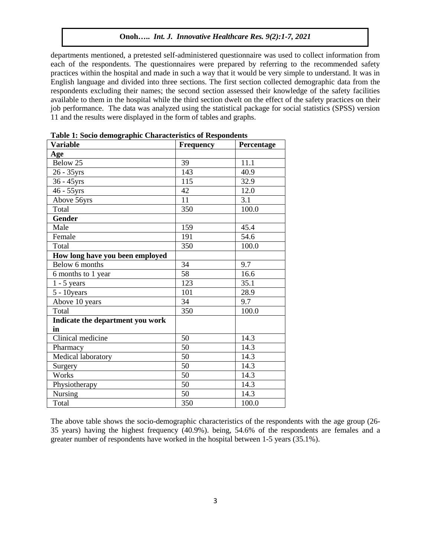departments mentioned, a pretested self-administered questionnaire was used to collect information from each of the respondents. The questionnaires were prepared by referring to the recommended safety practices within the hospital and made in such a way that it would be very simple to understand. It was in English language and divided into three sections. The first section collected demographic data from the respondents excluding their names; the second section assessed their knowledge of the safety facilities available to them in the hospital while the third section dwelt on the effect of the safety practices on their job performance. The data was analyzed using the statistical package for social statistics (SPSS) version 11 and the results were displayed in the form of tables and graphs.

| <b>Variable</b>                  | Frequency | Percentage |
|----------------------------------|-----------|------------|
| Age                              |           |            |
| Below 25                         | 39        | 11.1       |
| 26 - 35yrs                       | 143       | 40.9       |
| 36 - 45yrs                       | 115       | 32.9       |
| $46 - 55$ yrs                    | 42        | 12.0       |
| Above 56yrs                      | 11        | 3.1        |
| Total                            | 350       | 100.0      |
| <b>Gender</b>                    |           |            |
| Male                             | 159       | 45.4       |
| Female                           | 191       | 54.6       |
| Total                            | 350       | 100.0      |
| How long have you been employed  |           |            |
| Below 6 months                   | 34        | 9.7        |
| 6 months to 1 year               | 58        | 16.6       |
| $1 - 5$ years                    | 123       | 35.1       |
| $5 - 10$ years                   | 101       | 28.9       |
| Above 10 years                   | 34        | 9.7        |
| Total                            | 350       | 100.0      |
| Indicate the department you work |           |            |
| in                               |           |            |
| Clinical medicine                | 50        | 14.3       |
| Pharmacy                         | 50        | 14.3       |
| Medical laboratory               | 50        | 14.3       |
| Surgery                          | 50        | 14.3       |
| Works                            | 50        | 14.3       |
| Physiotherapy                    | 50        | 14.3       |
| Nursing                          | 50        | 14.3       |
| Total                            | 350       | 100.0      |

**Table 1: Socio demographic Characteristics of Respondents**

The above table shows the socio-demographic characteristics of the respondents with the age group (26- 35 years) having the highest frequency (40.9%). being, 54.6% of the respondents are females and a greater number of respondents have worked in the hospital between 1-5 years (35.1%).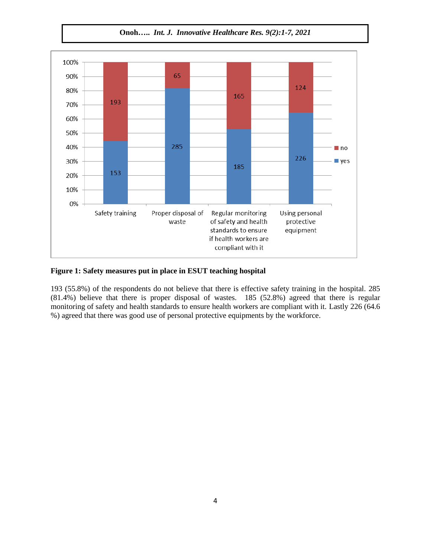**Onoh…..** *Int. J. Innovative Healthcare Res. 9(2):1-7, 2021*



# **Figure 1: Safety measures put in place in ESUT teaching hospital**

193 (55.8%) of the respondents do not believe that there is effective safety training in the hospital. 285 (81.4%) believe that there is proper disposal of wastes. 185 (52.8%) agreed that there is regular monitoring of safety and health standards to ensure health workers are compliant with it. Lastly 226 (64.6 %) agreed that there was good use of personal protective equipments by the workforce.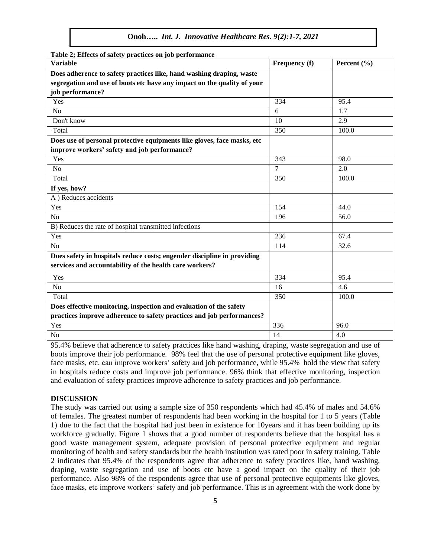| $\frac{1}{2}$<br><b>Variable</b>                                        | Frequency (f)  | Percent $(\% )$ |
|-------------------------------------------------------------------------|----------------|-----------------|
| Does adherence to safety practices like, hand washing draping, waste    |                |                 |
| segregation and use of boots etc have any impact on the quality of your |                |                 |
| job performance?                                                        |                |                 |
| Yes                                                                     | 334            | 95.4            |
| N <sub>o</sub>                                                          | 6              | 1.7             |
| Don't know                                                              | 10             | 2.9             |
| Total                                                                   | 350            | 100.0           |
| Does use of personal protective equipments like gloves, face masks, etc |                |                 |
| improve workers' safety and job performance?                            |                |                 |
| Yes                                                                     | 343            | 98.0            |
| No                                                                      | $\overline{7}$ | 2.0             |
| Total                                                                   | 350            | 100.0           |
| If yes, how?                                                            |                |                 |
| A) Reduces accidents                                                    |                |                 |
| Yes                                                                     | 154            | 44.0            |
| N <sub>o</sub>                                                          | 196            | 56.0            |
| B) Reduces the rate of hospital transmitted infections                  |                |                 |
| Yes                                                                     | 236            | 67.4            |
| N <sub>o</sub>                                                          | 114            | 32.6            |
| Does safety in hospitals reduce costs; engender discipline in providing |                |                 |
| services and accountability of the health care workers?                 |                |                 |
| Yes                                                                     | 334            | 95.4            |
| N <sub>o</sub>                                                          | 16             | 4.6             |
| Total                                                                   | 350            | 100.0           |
| Does effective monitoring, inspection and evaluation of the safety      |                |                 |
| practices improve adherence to safety practices and job performances?   |                |                 |
| Yes                                                                     | 336            | 96.0            |
| N <sub>o</sub>                                                          | 14             | 4.0             |

**Table 2; Effects of safety practices on job performance**

95.4% believe that adherence to safety practices like hand washing, draping, waste segregation and use of boots improve their job performance. 98% feel that the use of personal protective equipment like gloves, face masks, etc. can improve workers' safety and job performance, while 95.4% hold the view that safety in hospitals reduce costs and improve job performance. 96% think that effective monitoring, inspection and evaluation of safety practices improve adherence to safety practices and job performance.

#### **DISCUSSION**

The study was carried out using a sample size of 350 respondents which had 45.4% of males and 54.6% of females. The greatest number of respondents had been working in the hospital for 1 to 5 years (Table 1) due to the fact that the hospital had just been in existence for 10years and it has been building up its workforce gradually. Figure 1 shows that a good number of respondents believe that the hospital has a good waste management system, adequate provision of personal protective equipment and regular monitoring of health and safety standards but the health institution was rated poor in safety training. Table 2 indicates that 95.4% of the respondents agree that adherence to safety practices like, hand washing, draping, waste segregation and use of boots etc have a good impact on the quality of their job performance. Also 98% of the respondents agree that use of personal protective equipments like gloves, face masks, etc improve workers' safety and job performance. This is in agreement with the work done by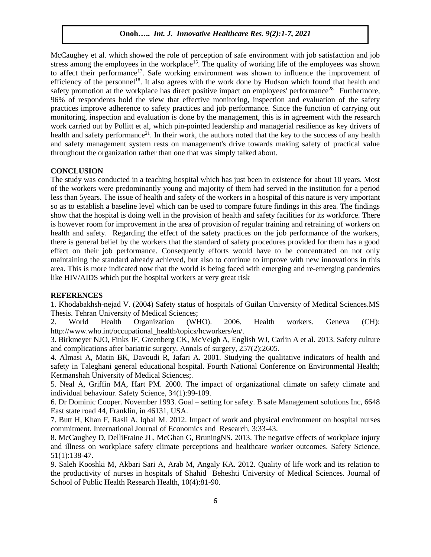McCaughey et al. which showed the role of perception of safe environment with job satisfaction and job stress among the employees in the workplace<sup>15</sup>. The quality of working life of the employees was shown to affect their performance<sup>17</sup>. Safe working environment was shown to influence the improvement of efficiency of the personnel<sup>18</sup>. It also agrees with the work done by Hudson which found that health and safety promotion at the workplace has direct positive impact on employees' performance<sup>28.</sup> Furthermore, 96% of respondents hold the view that effective monitoring, inspection and evaluation of the safety practices improve adherence to safety practices and job performance. Since the function of carrying out monitoring, inspection and evaluation is done by the management, this is in agreement with the research work carried out by Pollitt et al, which pin-pointed leadership and managerial resilience as key drivers of health and safety performance<sup>21</sup>. In their work, the authors noted that the key to the success of any health and safety management system rests on management's drive towards making safety of practical value throughout the organization rather than one that was simply talked about.

# **CONCLUSION**

The study was conducted in a teaching hospital which has just been in existence for about 10 years. Most of the workers were predominantly young and majority of them had served in the institution for a period less than 5years. The issue of health and safety of the workers in a hospital of this nature is very important so as to establish a baseline level which can be used to compare future findings in this area. The findings show that the hospital is doing well in the provision of health and safety facilities for its workforce. There is however room for improvement in the area of provision of regular training and retraining of workers on health and safety. Regarding the effect of the safety practices on the job performance of the workers, there is general belief by the workers that the standard of safety procedures provided for them has a good effect on their job performance. Consequently efforts would have to be concentrated on not only maintaining the standard already achieved, but also to continue to improve with new innovations in this area. This is more indicated now that the world is being faced with emerging and re-emerging pandemics like HIV/AIDS which put the hospital workers at very great risk

#### **REFERENCES**

1. Khodabakhsh-nejad V. (2004) Safety status of hospitals of Guilan University of Medical Sciences.MS Thesis. Tehran University of Medical Sciences;

2. World Health Organization (WHO). 2006. Health workers. Geneva (CH): http://www.who.int/occupational\_health/topics/hcworkers/en/.

3. Birkmeyer NJO, Finks JF, Greenberg CK, McVeigh A, English WJ, Carlin A et al. 2013. Safety culture and complications after bariatric surgery. Annals of surgery, 257(2):2605.

4. Almasi A, Matin BK, Davoudi R, Jafari A. 2001. Studying the qualitative indicators of health and safety in Taleghani general educational hospital. Fourth National Conference on Environmental Health; Kermanshah University of Medical Sciences;.

5. Neal A, Griffin MA, Hart PM. 2000. The impact of organizational climate on safety climate and individual behaviour. Safety Science, 34(1):99-109.

6. Dr Dominic Cooper. November 1993. Goal – setting for safety. B safe Management solutions Inc, 6648 East state road 44, Franklin, in 46131, USA.

7. Butt H, Khan F, Rasli A, Iqbal M. 2012. Impact of work and physical environment on hospital nurses commitment. International Journal of Economics and Research, 3:33-43.

8. McCaughey D, DelliFraine JL, McGhan G, BruningNS. 2013. The negative effects of workplace injury and illness on workplace safety climate perceptions and healthcare worker outcomes. Safety Science, 51(1):138-47.

9. Saleh Kooshki M, Akbari Sari A, Arab M, Angaly KA. 2012. Quality of life work and its relation to the productivity of nurses in hospitals of Shahid Beheshti University of Medical Sciences. Journal of School of Public Health Research Health, 10(4):81-90.